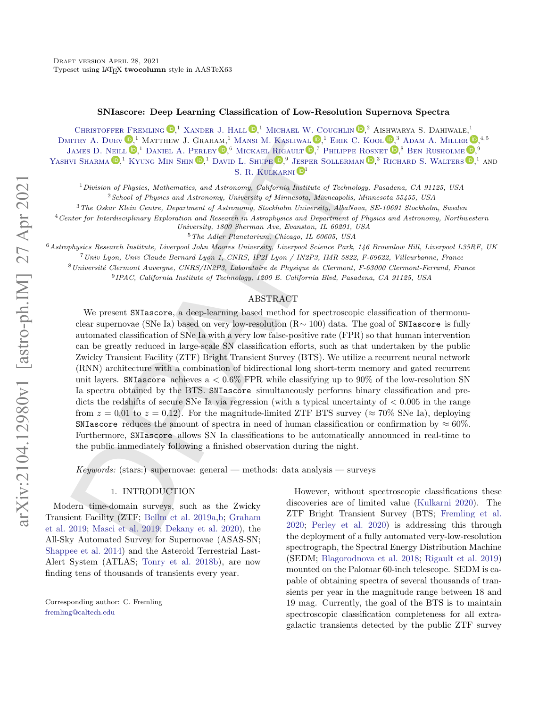### SNIascore: Deep Learning Classification of Low-Resolution Supernova Spectra

CHRISTOFFER FREMLING  $\mathbb{D}^1$  [Xander J. Hall](http://orcid.org/0000-0002-9364-5419)  $\mathbb{D}^1$  [Michael W. Coughlin](http://orcid.org/0000-0002-8262-2924)  $\mathbb{D}^2$  Aishwarya S. Dahiwale.<sup>1</sup> DMITRY A. DUEV  $\mathbb{D}$ , <sup>1</sup> Matthew J. Graham, <sup>1</sup> Mansi M. Kasliwal  $\mathbb{D}$ , <sup>1</sup> [Erik C. Kool](http://orcid.org/0000-0002-7252-3877)  $\mathbb{D}$ , <sup>3</sup> [Adam A. Miller](http://orcid.org/0000-0001-9515-478X)  $\mathbb{D}$ , <sup>4, 5</sup> JAMES D. NEILL <sup>1</sup> DANIEL A. PERLEY <sup>0</sup>.<sup>6</sup> MICKAEL RIGAULT <sup>0.7</sup> PHILIPPE ROSNET <sup>0.8</sup> BEN RUSHOLME <sup>0.9</sup> Yashvi Sharma <sup>(D.1</sup> Kyung Min Shin <sup>(D.1</sup> David L. Shupe <sup>(D.9</sup> Jesper Sollerman <sup>(D.3</sup> [Richard S. Walters](http://orcid.org/0000-0001-8018-5348) <sup>(D.1</sup> and S. R. KULKARNI <sup>D1</sup>

 $1$ Division of Physics, Mathematics, and Astronomy, California Institute of Technology, Pasadena, CA 91125, USA <sup>2</sup>School of Physics and Astronomy, University of Minnesota, Minneapolis, Minnesota 55455, USA

<sup>3</sup>The Oskar Klein Centre, Department of Astronomy, Stockholm University, AlbaNova, SE-10691 Stockholm, Sweden

 $4$ Center for Interdisciplinary Exploration and Research in Astrophysics and Department of Physics and Astronomy, Northwestern

University, 1800 Sherman Ave, Evanston, IL 60201, USA

<sup>5</sup>The Adler Planetarium, Chicago, IL 60605, USA

<sup>6</sup>Astrophysics Research Institute, Liverpool John Moores University, Liverpool Science Park, 146 Brownlow Hill, Liverpool L35RF, UK

<sup>7</sup>Univ Lyon, Univ Claude Bernard Lyon 1, CNRS, IP2I Lyon / IN2P3, IMR 5822, F-69622, Villeurbanne, France

8 Université Clermont Auvergne, CNRS/IN2P3, Laboratoire de Physique de Clermont, F-63000 Clermont-Ferrand, France

9 IPAC, California Institute of Technology, 1200 E. California Blvd, Pasadena, CA 91125, USA

#### ABSTRACT

True A. [D](#page-10-3)urit U. MA[T](http://orcid.org/0000-0002-8121-2560)TIEW MASS IM KASHIM KASHIM (F. Kosamo, MATS D. NERIC A. HORNE OF C. KOOL U. STARE C. KOOL U. SHARNA U. SHARNA (F. KORO U. SHARNA U. SHARNA U. SHARNA U. SHARNA U. SHARNA U. SHARNA U. SHARNA U. SHARNA U. We present SNIascore, a deep-learning based method for spectroscopic classification of thermonuclear supernovae (SNe Ia) based on very low-resolution ( $R \sim 100$ ) data. The goal of SNIascore is fully automated classification of SNe Ia with a very low false-positive rate (FPR) so that human intervention can be greatly reduced in large-scale SN classification efforts, such as that undertaken by the public Zwicky Transient Facility (ZTF) Bright Transient Survey (BTS). We utilize a recurrent neural network (RNN) architecture with a combination of bidirectional long short-term memory and gated recurrent unit layers. SNIascore achieves a  $< 0.6\%$  FPR while classifying up to 90% of the low-resolution SN Ia spectra obtained by the BTS. SNIascore simultaneously performs binary classification and predicts the redshifts of secure SNe Ia via regression (with a typical uncertainty of < 0.005 in the range from  $z = 0.01$  to  $z = 0.12$ ). For the magnitude-limited ZTF BTS survey ( $\approx 70\%$  SNe Ia), deploying SNIascore reduces the amount of spectra in need of human classification or confirmation by  $\approx 60\%$ . Furthermore, SNIascore allows SN Ia classifications to be automatically announced in real-time to the public immediately following a finished observation during the night.

Keywords: (stars:) supernovae: general — methods: data analysis — surveys

# 1. INTRODUCTION

Modern time-domain surveys, such as the Zwicky Transient Facility (ZTF; Bellm et al. 2019a,b; Graham [et al.](#page-10-2) 2019; Masci et al. 2019; Dekany et al. 2020), the All-Sky Automated Survey for Supernovae (ASAS-SN; [Shappee et al. 2014\)](#page-11-0) and the Asteroid Terrestrial Last-Alert System (ATLAS; [Tonry et al. 2018b\)](#page-11-1), are now finding tens of thousands of transients every year.

Corresponding author: C. Fremling [fremling@caltech.edu](mailto: fremling@caltech.edu)

However, without spectroscopic classifications these discoveries are of limited value [\(Kulkarni 2020\)](#page-10-5). The ZTF Bright Transient Survey (BTS; [Fremling et al.](#page-10-6) 2020; Perley et al. [2020\)](#page-10-7) is addressing this through the deployment of a fully automated very-low-resolution spectrograph, the Spectral Energy Distribution Machine (SEDM; [Blagorodnova et al. 2018;](#page-10-8) [Rigault et al. 2019\)](#page-10-9) mounted on the Palomar 60-inch telescope. SEDM is capable of obtaining spectra of several thousands of transients per year in the magnitude range between 18 and 19 mag. Currently, the goal of the BTS is to maintain spectroscopic classification completeness for all extragalactic transients detected by the public ZTF survey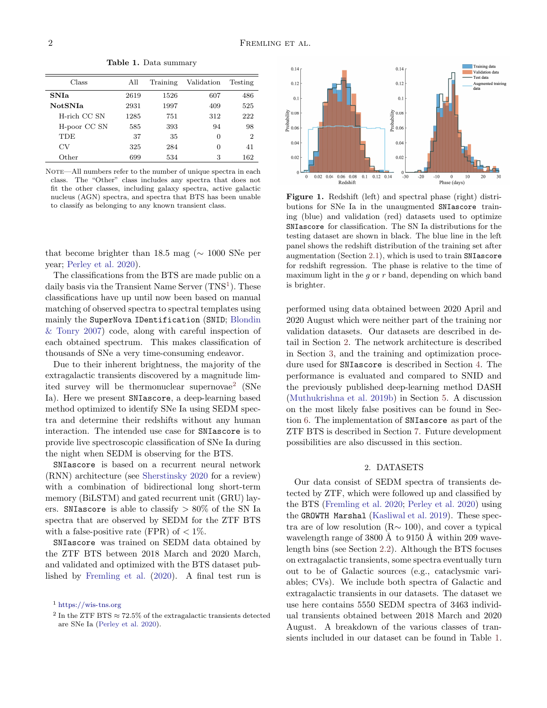| Class          | All  | Training | Validation | Testing        |
|----------------|------|----------|------------|----------------|
| <b>SNIa</b>    | 2619 | 1526     | 607        | 486            |
| <b>NotSNIa</b> | 2931 | 1997     | 409        | 525            |
| H-rich CC SN   | 1285 | 751      | 312        | 222            |
| H-poor CC SN   | 585  | 393      | 94         | 98             |
| TDE            | 37   | 35       | 0          | $\overline{2}$ |
| CV             | 325  | 284      | 0          | 41             |
| Other          | 699  | 534      | 3          | 162            |

<span id="page-1-3"></span>Table 1. Data summary

NOTE-All numbers refer to the number of unique spectra in each class. The "Other" class includes any spectra that does not fit the other classes, including galaxy spectra, active galactic nucleus (AGN) spectra, and spectra that BTS has been unable to classify as belonging to any known transient class.

that become brighter than 18.5 mag ( $\sim$  1000 SNe per year; [Perley et al. 2020\)](#page-10-7).

The classifications from the BTS are made public on a daily basis via the Transient Name Server (TNS<sup>[1](#page-1-0)</sup>). These classifications have up until now been based on manual matching of observed spectra to spectral templates using mainly the SuperNova IDentification (SNID; [Blondin](#page-10-10) [& Tonry 2007\)](#page-10-10) code, along with careful inspection of each obtained spectrum. This makes classification of thousands of SNe a very time-consuming endeavor.

Due to their inherent brightness, the majority of the extragalactic transients discovered by a magnitude limited survey will be thermonuclear supernovae[2](#page-1-1) (SNe Ia). Here we present SNIascore, a deep-learning based method optimized to identify SNe Ia using SEDM spectra and determine their redshifts without any human interaction. The intended use case for SNIascore is to provide live spectroscopic classification of SNe Ia during the night when SEDM is observing for the BTS.

SNIascore is based on a recurrent neural network (RNN) architecture (see [Sherstinsky 2020](#page-11-2) for a review) with a combination of bidirectional long short-term memory (BiLSTM) and gated recurrent unit (GRU) layers. SNIascore is able to classify  $> 80\%$  of the SNIa spectra that are observed by SEDM for the ZTF BTS with a false-positive rate (FPR) of  $\langle 1\% \rangle$ .

SNIascore was trained on SEDM data obtained by the ZTF BTS between 2018 March and 2020 March, and validated and optimized with the BTS dataset published by [Fremling et al.](#page-10-6) [\(2020\)](#page-10-6). A final test run is



<span id="page-1-4"></span>Figure 1. Redshift (left) and spectral phase (right) distributions for SNe Ia in the unaugmented SNIascore training (blue) and validation (red) datasets used to optimize SNIascore for classification. The SN Ia distributions for the testing dataset are shown in black. The blue line in the left panel shows the redshift distribution of the training set after augmentation (Section [2.1\)](#page-2-0), which is used to train SNIascore for redshift regression. The phase is relative to the time of maximum light in the  $g$  or  $r$  band, depending on which band is brighter.

performed using data obtained between 2020 April and 2020 August which were neither part of the training nor validation datasets. Our datasets are described in detail in Section [2.](#page-1-2) The network architecture is described in Section [3,](#page-3-0) and the training and optimization procedure used for SNIascore is described in Section [4.](#page-4-0) The performance is evaluated and compared to SNID and the previously published deep-learning method DASH [\(Muthukrishna et al. 2019b\)](#page-10-11) in Section [5.](#page-5-0) A discussion on the most likely false positives can be found in Section [6.](#page-7-0) The implementation of SNIascore as part of the ZTF BTS is described in Section [7.](#page-8-0) Future development possibilities are also discussed in this section.

#### 2. DATASETS

<span id="page-1-2"></span>Our data consist of SEDM spectra of transients detected by ZTF, which were followed up and classified by the BTS [\(Fremling et al. 2020;](#page-10-6) [Perley et al. 2020\)](#page-10-7) using the GROWTH Marshal [\(Kasliwal et al. 2019\)](#page-10-12). These spectra are of low resolution (R∼ 100), and cover a typical wavelength range of 3800 Å to 9150 Å within 209 wavelength bins (see Section [2.2\)](#page-3-1). Although the BTS focuses on extragalactic transients, some spectra eventually turn out to be of Galactic sources (e.g., cataclysmic variables; CVs). We include both spectra of Galactic and extragalactic transients in our datasets. The dataset we use here contains 5550 SEDM spectra of 3463 individual transients obtained between 2018 March and 2020 August. A breakdown of the various classes of transients included in our dataset can be found in Table [1.](#page-1-3)

<span id="page-1-0"></span> $1$  <https://wis-tns.org>

<span id="page-1-1"></span><sup>&</sup>lt;sup>2</sup> In the ZTF BTS  $\approx 72.5\%$  of the extragalactic transients detected are SNe Ia [\(Perley et al. 2020\)](#page-10-7).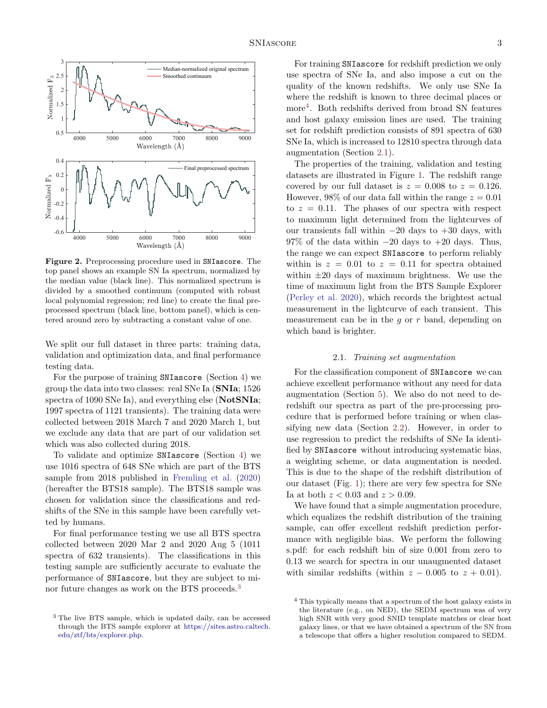

<span id="page-2-3"></span>Figure 2. Preprocessing procedure used in SNIascore. The top panel shows an example SN Ia spectrum, normalized by the median value (black line). This normalized spectrum is divided by a smoothed continuum (computed with robust local polynomial regression; red line) to create the final preprocessed spectrum (black line, bottom panel), which is centered around zero by subtracting a constant value of one.

We split our full dataset in three parts: training data, validation and optimization data, and final performance testing data.

For the purpose of training SNIascore (Section [4\)](#page-4-0) we group the data into two classes: real SNe Ia (SNIa; 1526 spectra of 1090 SNe Ia), and everything else (NotSNIa; 1997 spectra of 1121 transients). The training data were collected between 2018 March 7 and 2020 March 1, but we exclude any data that are part of our validation set which was also collected during 2018.

To validate and optimize SNIascore (Section [4\)](#page-4-0) we use 1016 spectra of 648 SNe which are part of the BTS sample from 2018 published in [Fremling et al.](#page-10-6) [\(2020\)](#page-10-6) (hereafter the BTS18 sample). The BTS18 sample was chosen for validation since the classifications and redshifts of the SNe in this sample have been carefully vetted by humans.

For final performance testing we use all BTS spectra collected between 2020 Mar 2 and 2020 Aug 5 (1011 spectra of 632 transients). The classifications in this testing sample are sufficiently accurate to evaluate the performance of SNIascore, but they are subject to mi-nor future changes as work on the BTS proceeds.<sup>[3](#page-2-1)</sup>

For training SNIascore for redshift prediction we only use spectra of SNe Ia, and also impose a cut on the quality of the known redshifts. We only use SNe Ia where the redshift is known to three decimal places or more[4](#page-2-2) . Both redshifts derived from broad SN features and host galaxy emission lines are used. The training set for redshift prediction consists of 891 spectra of 630 SNe Ia, which is increased to 12810 spectra through data augmentation (Section [2.1\)](#page-2-0).

The properties of the training, validation and testing datasets are illustrated in Figure [1.](#page-1-4) The redshift range covered by our full dataset is  $z = 0.008$  to  $z = 0.126$ . However, 98% of our data fall within the range  $z = 0.01$ to  $z = 0.11$ . The phases of our spectra with respect to maximum light determined from the lightcurves of our transients fall within  $-20$  days to  $+30$  days, with  $97\%$  of the data within  $-20$  days to  $+20$  days. Thus, the range we can expect SNIascore to perform reliably within is  $z = 0.01$  to  $z = 0.11$  for spectra obtained within  $\pm 20$  days of maximum brightness. We use the time of maximum light from the BTS Sample Explorer [\(Perley et al. 2020\)](#page-10-7), which records the brightest actual measurement in the lightcurve of each transient. This measurement can be in the  $q$  or  $r$  band, depending on which band is brighter.

#### 2.1. Training set augmentation

<span id="page-2-0"></span>For the classification component of SNIascore we can achieve excellent performance without any need for data augmentation (Section [5\)](#page-5-0). We also do not need to deredshift our spectra as part of the pre-processing procedure that is performed before training or when classifying new data (Section [2.2\)](#page-3-1). However, in order to use regression to predict the redshifts of SNe Ia identified by SNIascore without introducing systematic bias, a weighting scheme, or data augmentation is needed. This is due to the shape of the redshift distribution of our dataset (Fig. [1\)](#page-1-4); there are very few spectra for SNe Ia at both  $z < 0.03$  and  $z > 0.09$ .

We have found that a simple augmentation procedure, which equalizes the redshift distribution of the training sample, can offer excellent redshift prediction performance with negligible bias. We perform the following s.pdf: for each redshift bin of size 0.001 from zero to 0.13 we search for spectra in our unaugmented dataset with similar redshifts (within  $z - 0.005$  to  $z + 0.01$ ).

<span id="page-2-1"></span><sup>3</sup> The live BTS sample, which is updated daily, can be accessed through the BTS sample explorer at [https://sites.astro.caltech.](https://sites.astro.caltech.edu/ztf/bts/explorer.php) [edu/ztf/bts/explorer.php.](https://sites.astro.caltech.edu/ztf/bts/explorer.php)

<span id="page-2-2"></span><sup>4</sup> This typically means that a spectrum of the host galaxy exists in the literature (e.g., on NED), the SEDM spectrum was of very high SNR with very good SNID template matches or clear host galaxy lines, or that we have obtained a spectrum of the SN from a telescope that offers a higher resolution compared to SEDM.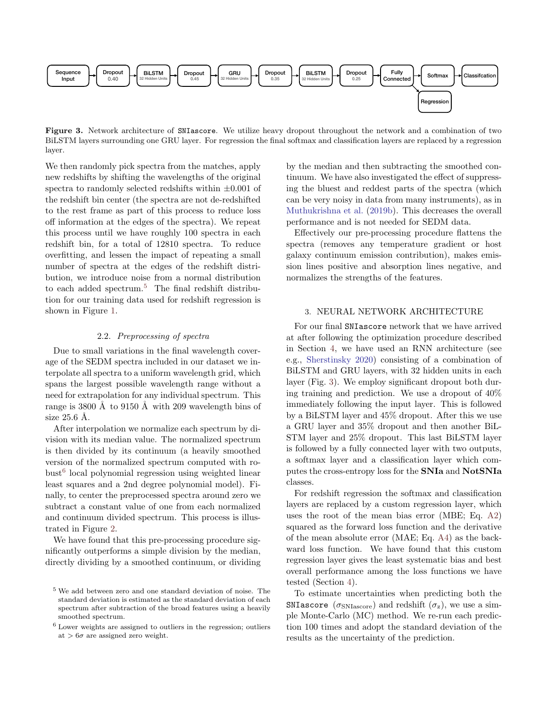

<span id="page-3-4"></span>Figure 3. Network architecture of SNIascore. We utilize heavy dropout throughout the network and a combination of two BiLSTM layers surrounding one GRU layer. For regression the final softmax and classification layers are replaced by a regression layer.

We then randomly pick spectra from the matches, apply new redshifts by shifting the wavelengths of the original spectra to randomly selected redshifts within  $\pm 0.001$  of the redshift bin center (the spectra are not de-redshifted to the rest frame as part of this process to reduce loss off information at the edges of the spectra). We repeat this process until we have roughly 100 spectra in each redshift bin, for a total of 12810 spectra. To reduce overfitting, and lessen the impact of repeating a small number of spectra at the edges of the redshift distribution, we introduce noise from a normal distribution to each added spectrum.<sup>[5](#page-3-2)</sup> The final redshift distribution for our training data used for redshift regression is shown in Figure [1.](#page-1-4)

#### 2.2. Preprocessing of spectra

<span id="page-3-1"></span>Due to small variations in the final wavelength coverage of the SEDM spectra included in our dataset we interpolate all spectra to a uniform wavelength grid, which spans the largest possible wavelength range without a need for extrapolation for any individual spectrum. This range is 3800 Å to 9150 Å with 209 wavelength bins of size  $25.6$  Å.

After interpolation we normalize each spectrum by division with its median value. The normalized spectrum is then divided by its continuum (a heavily smoothed version of the normalized spectrum computed with ro-bust<sup>[6](#page-3-3)</sup> local polynomial regression using weighted linear least squares and a 2nd degree polynomial model). Finally, to center the preprocessed spectra around zero we subtract a constant value of one from each normalized and continuum divided spectrum. This process is illustrated in Figure [2.](#page-2-3)

We have found that this pre-processing procedure significantly outperforms a simple division by the median, directly dividing by a smoothed continuum, or dividing

<span id="page-3-3"></span> $^6$  Lower weights are assigned to outliers in the regression; outliers at  $> 6\sigma$  are assigned zero weight.

by the median and then subtracting the smoothed continuum. We have also investigated the effect of suppressing the bluest and reddest parts of the spectra (which can be very noisy in data from many instruments), as in [Muthukrishna et al.](#page-10-11) [\(2019b\)](#page-10-11). This decreases the overall performance and is not needed for SEDM data.

Effectively our pre-processing procedure flattens the spectra (removes any temperature gradient or host galaxy continuum emission contribution), makes emission lines positive and absorption lines negative, and normalizes the strengths of the features.

## 3. NEURAL NETWORK ARCHITECTURE

<span id="page-3-0"></span>For our final SNIascore network that we have arrived at after following the optimization procedure described in Section [4,](#page-4-0) we have used an RNN architecture (see e.g., [Sherstinsky 2020\)](#page-11-2) consisting of a combination of BiLSTM and GRU layers, with 32 hidden units in each layer (Fig. [3\)](#page-3-4). We employ significant dropout both during training and prediction. We use a dropout of 40% immediately following the input layer. This is followed by a BiLSTM layer and 45% dropout. After this we use a GRU layer and 35% dropout and then another BiL-STM layer and 25% dropout. This last BiLSTM layer is followed by a fully connected layer with two outputs, a softmax layer and a classification layer which computes the cross-entropy loss for the SNIa and NotSNIa classes.

For redshift regression the softmax and classification layers are replaced by a custom regression layer, which uses the root of the mean bias error (MBE; Eq. [A2\)](#page-9-0) squared as the forward loss function and the derivative of the mean absolute error (MAE; Eq. [A4\)](#page-9-1) as the backward loss function. We have found that this custom regression layer gives the least systematic bias and best overall performance among the loss functions we have tested (Section [4\)](#page-4-0).

To estimate uncertainties when predicting both the SNIascore ( $\sigma_{\text{SNIascore}}$ ) and redshift ( $\sigma_{\text{z}}$ ), we use a simple Monte-Carlo (MC) method. We re-run each prediction 100 times and adopt the standard deviation of the results as the uncertainty of the prediction.

<span id="page-3-2"></span><sup>5</sup> We add between zero and one standard deviation of noise. The standard deviation is estimated as the standard deviation of each spectrum after subtraction of the broad features using a heavily smoothed spectrum.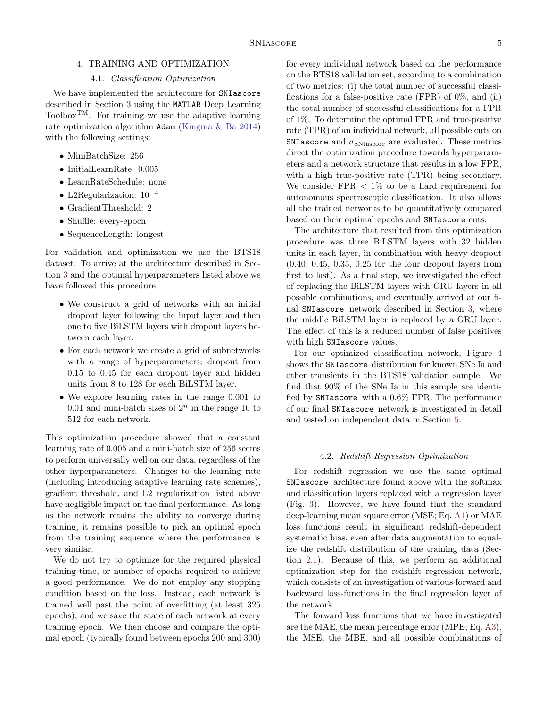# <span id="page-4-0"></span>4. TRAINING AND OPTIMIZATION

# 4.1. Classification Optimization

We have implemented the architecture for SNIascore described in Section [3](#page-3-0) using the MATLAB Deep Learning Toolbox<sup>TM</sup>. For training we use the adaptive learning rate optimization algorithm Adam [\(Kingma & Ba 2014\)](#page-10-13) with the following settings:

- MiniBatchSize: 256
- InitialLearnRate: 0.005
- LearnRateSchedule: none
- L2Regularization: 10<sup>−</sup><sup>4</sup>
- GradientThreshold: 2
- Shuffle: every-epoch
- SequenceLength: longest

For validation and optimization we use the BTS18 dataset. To arrive at the architecture described in Section [3](#page-3-0) and the optimal hyperparameters listed above we have followed this procedure:

- We construct a grid of networks with an initial dropout layer following the input layer and then one to five BiLSTM layers with dropout layers between each layer.
- For each network we create a grid of subnetworks with a range of hyperparameters; dropout from 0.15 to 0.45 for each dropout layer and hidden units from 8 to 128 for each BiLSTM layer.
- We explore learning rates in the range 0.001 to 0.01 and mini-batch sizes of  $2^n$  in the range 16 to 512 for each network.

This optimization procedure showed that a constant learning rate of 0.005 and a mini-batch size of 256 seems to perform universally well on our data, regardless of the other hyperparameters. Changes to the learning rate (including introducing adaptive learning rate schemes), gradient threshold, and L2 regularization listed above have negligible impact on the final performance. As long as the network retains the ability to converge during training, it remains possible to pick an optimal epoch from the training sequence where the performance is very similar.

We do not try to optimize for the required physical training time, or number of epochs required to achieve a good performance. We do not employ any stopping condition based on the loss. Instead, each network is trained well past the point of overfitting (at least 325 epochs), and we save the state of each network at every training epoch. We then choose and compare the optimal epoch (typically found between epochs 200 and 300)

for every individual network based on the performance on the BTS18 validation set, according to a combination of two metrics: (i) the total number of successful classifications for a false-positive rate (FPR) of 0%, and (ii) the total number of successful classifications for a FPR of 1%. To determine the optimal FPR and true-positive rate (TPR) of an individual network, all possible cuts on SNIascore and  $\sigma_{\rm SNIascore}$  are evaluated. These metrics direct the optimization procedure towards hyperparameters and a network structure that results in a low FPR, with a high true-positive rate (TPR) being secondary. We consider  $FPR < 1\%$  to be a hard requirement for autonomous spectroscopic classification. It also allows all the trained networks to be quantitatively compared based on their optimal epochs and SNIascore cuts.

The architecture that resulted from this optimization procedure was three BiLSTM layers with 32 hidden units in each layer, in combination with heavy dropout (0.40, 0.45, 0.35, 0.25 for the four dropout layers from first to last). As a final step, we investigated the effect of replacing the BiLSTM layers with GRU layers in all possible combinations, and eventually arrived at our final SNIascore network described in Section [3,](#page-3-0) where the middle BiLSTM layer is replaced by a GRU layer. The effect of this is a reduced number of false positives with high SNIascore values.

For our optimized classification network, Figure [4](#page-5-1) shows the SNIascore distribution for known SNe Ia and other transients in the BTS18 validation sample. We find that 90% of the SNe Ia in this sample are identified by SNIascore with a 0.6% FPR. The performance of our final SNIascore network is investigated in detail and tested on independent data in Section [5.](#page-5-0)

# 4.2. Redshift Regression Optimization

For redshift regression we use the same optimal SNIascore architecture found above with the softmax and classification layers replaced with a regression layer (Fig. [3\)](#page-3-4). However, we have found that the standard deep-learning mean square error (MSE; Eq. [A1\)](#page-9-2) or MAE loss functions result in significant redshift-dependent systematic bias, even after data augmentation to equalize the redshift distribution of the training data (Section [2.1\)](#page-2-0). Because of this, we perform an additional optimization step for the redshift regression network, which consists of an investigation of various forward and backward loss-functions in the final regression layer of the network.

The forward loss functions that we have investigated are the MAE, the mean percentage error (MPE; Eq. [A3\)](#page-9-3), the MSE, the MBE, and all possible combinations of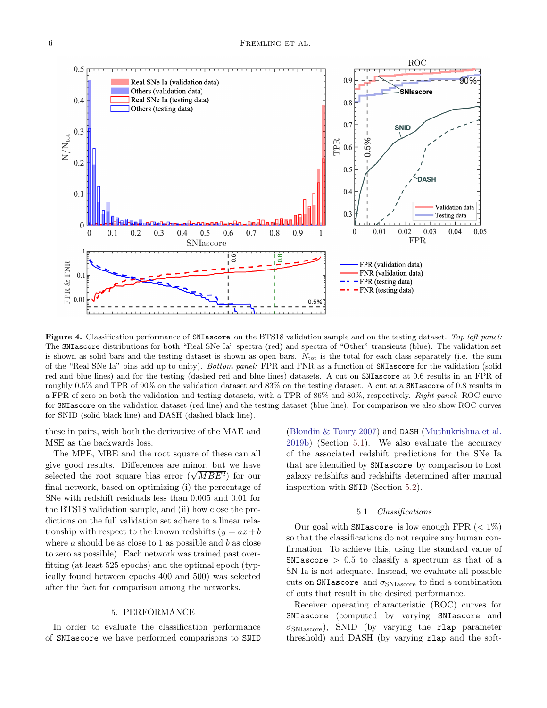

<span id="page-5-1"></span>Figure 4. Classification performance of SNIascore on the BTS18 validation sample and on the testing dataset. Top left panel: The SNIascore distributions for both "Real SNe Ia" spectra (red) and spectra of "Other" transients (blue). The validation set is shown as solid bars and the testing dataset is shown as open bars.  $N_{\text{tot}}$  is the total for each class separately (i.e. the sum of the "Real SNe Ia" bins add up to unity). Bottom panel: FPR and FNR as a function of SNIascore for the validation (solid red and blue lines) and for the testing (dashed red and blue lines) datasets. A cut on SNIascore at 0.6 results in an FPR of roughly 0.5% and TPR of 90% on the validation dataset and 83% on the testing dataset. A cut at a SNIascore of 0.8 results in a FPR of zero on both the validation and testing datasets, with a TPR of 86% and 80%, respectively. Right panel: ROC curve for SNIascore on the validation dataset (red line) and the testing dataset (blue line). For comparison we also show ROC curves for SNID (solid black line) and DASH (dashed black line).

these in pairs, with both the derivative of the MAE and MSE as the backwards loss.

The MPE, MBE and the root square of these can all give good results. Differences are minor, but we have give good results. Differences are minor, but we have<br>selected the root square bias error  $(\sqrt{MBE^2})$  for our final network, based on optimizing (i) the percentage of SNe with redshift residuals less than 0.005 and 0.01 for the BTS18 validation sample, and (ii) how close the predictions on the full validation set adhere to a linear relationship with respect to the known redshifts  $(y = ax + b)$ where  $a$  should be as close to 1 as possible and  $b$  as close to zero as possible). Each network was trained past overfitting (at least 525 epochs) and the optimal epoch (typically found between epochs 400 and 500) was selected after the fact for comparison among the networks.

#### 5. PERFORMANCE

<span id="page-5-0"></span>In order to evaluate the classification performance of SNIascore we have performed comparisons to SNID [\(Blondin & Tonry 2007\)](#page-10-10) and DASH [\(Muthukrishna et al.](#page-10-11) [2019b\)](#page-10-11) (Section [5.1\)](#page-5-2). We also evaluate the accuracy of the associated redshift predictions for the SNe Ia that are identified by SNIascore by comparison to host galaxy redshifts and redshifts determined after manual inspection with SNID (Section [5.2\)](#page-6-0).

#### 5.1. Classifications

<span id="page-5-2"></span>Our goal with SNIascore is low enough FPR  $(< 1\%)$ so that the classifications do not require any human confirmation. To achieve this, using the standard value of SNIascore  $> 0.5$  to classify a spectrum as that of a SN Ia is not adequate. Instead, we evaluate all possible cuts on SNIascore and  $\sigma_{\text{SNIascore}}$  to find a combination of cuts that result in the desired performance.

Receiver operating characteristic (ROC) curves for SNIascore (computed by varying SNIascore and  $\sigma_{\text{SNIascore}}$ ), SNID (by varying the rlap parameter threshold) and DASH (by varying rlap and the soft-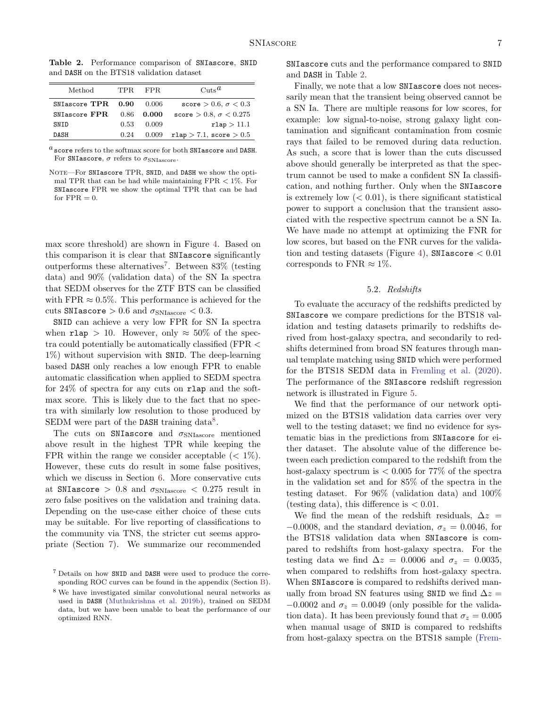Table 2. Performance comparison of SNIascore, SNID and DASH on the BTS18 validation dataset

| Method              | TPR. | - FPR. | $Cuts^{\mu}$                  |
|---------------------|------|--------|-------------------------------|
| SNIascore TPR. 0.90 |      | 0.006  | score $> 0.6, \sigma < 0.3$   |
| SNIascore FPR       | 0.86 | 0.000  | score $> 0.8, \sigma < 0.275$ |
| SNID                | 0.53 | 0.009  | rlap > 11.1                   |
| DASH                | 0.24 | 0.009  | $rlap > 7.1$ , score $> 0.5$  |

 $a$  score refers to the softmax score for both SNIascore and DASH. For SNIascore,  $\sigma$  refers to  $\sigma_{\rm SNIascore}$ .

NOTE-For SNIascore TPR, SNID, and DASH we show the optimal TPR that can be had while maintaining FPR < 1%. For SNIascore FPR we show the optimal TPR that can be had for  $\text{FPR} = 0$ .

max score threshold) are shown in Figure [4.](#page-5-1) Based on this comparison it is clear that SNIascore significantly outperforms these alternatives<sup>[7](#page-6-1)</sup>. Between 83% (testing data) and 90% (validation data) of the SN Ia spectra that SEDM observes for the ZTF BTS can be classified with FPR  $\approx 0.5\%$ . This performance is achieved for the cuts SNIascore  $> 0.6$  and  $\sigma_{\text{SNIascore}} < 0.3$ .

SNID can achieve a very low FPR for SN Ia spectra when rlap > 10. However, only  $\approx 50\%$  of the spectra could potentially be automatically classified (FPR < 1%) without supervision with SNID. The deep-learning based DASH only reaches a low enough FPR to enable automatic classification when applied to SEDM spectra for 24% of spectra for any cuts on rlap and the softmax score. This is likely due to the fact that no spectra with similarly low resolution to those produced by SEDM were part of the DASH training data<sup>[8](#page-6-2)</sup>.

The cuts on SNIascore and  $\sigma_{\text{SNIascore}}$  mentioned above result in the highest TPR while keeping the FPR within the range we consider acceptable  $(< 1\%)$ . However, these cuts do result in some false positives, which we discuss in Section [6.](#page-7-0) More conservative cuts at SNIascore > 0.8 and  $\sigma_{\text{SNIascore}} < 0.275$  result in zero false positives on the validation and training data. Depending on the use-case either choice of these cuts may be suitable. For live reporting of classifications to the community via TNS, the stricter cut seems appropriate (Section [7\)](#page-8-0). We summarize our recommended

SNIascore cuts and the performance compared to SNID and DASH in Table [2.](#page-5-0)

Finally, we note that a low SNIascore does not necessarily mean that the transient being observed cannot be a SN Ia. There are multiple reasons for low scores, for example: low signal-to-noise, strong galaxy light contamination and significant contamination from cosmic rays that failed to be removed during data reduction. As such, a score that is lower than the cuts discussed above should generally be interpreted as that the spectrum cannot be used to make a confident SN Ia classification, and nothing further. Only when the SNIascore is extremely low  $( $0.01$ ), is there significant statistical$ power to support a conclusion that the transient associated with the respective spectrum cannot be a SN Ia. We have made no attempt at optimizing the FNR for low scores, but based on the FNR curves for the valida-tion and testing datasets (Figure [4\)](#page-5-1), SNIascore  $< 0.01$ corresponds to FNR  $\approx 1\%$ .

#### 5.2. Redshifts

<span id="page-6-0"></span>To evaluate the accuracy of the redshifts predicted by SNIascore we compare predictions for the BTS18 validation and testing datasets primarily to redshifts derived from host-galaxy spectra, and secondarily to redshifts determined from broad SN features through manual template matching using SNID which were performed for the BTS18 SEDM data in [Fremling et al.](#page-10-6) [\(2020\)](#page-10-6). The performance of the SNIascore redshift regression network is illustrated in Figure [5.](#page-7-1)

We find that the performance of our network optimized on the BTS18 validation data carries over very well to the testing dataset; we find no evidence for systematic bias in the predictions from SNIascore for either dataset. The absolute value of the difference between each prediction compared to the redshift from the host-galaxy spectrum is  $< 0.005$  for 77% of the spectra in the validation set and for 85% of the spectra in the testing dataset. For 96% (validation data) and 100% (testing data), this difference is  $< 0.01$ .

We find the mean of the redshift residuals,  $\Delta z =$  $-0.0008$ , and the standard deviation,  $\sigma_z = 0.0046$ , for the BTS18 validation data when SNIascore is compared to redshifts from host-galaxy spectra. For the testing data we find  $\Delta z = 0.0006$  and  $\sigma_z = 0.0035$ , when compared to redshifts from host-galaxy spectra. When SNIascore is compared to redshifts derived manually from broad SN features using SNID we find  $\Delta z =$  $-0.0002$  and  $\sigma_z = 0.0049$  (only possible for the validation data). It has been previously found that  $\sigma_z = 0.005$ when manual usage of SNID is compared to redshifts from host-galaxy spectra on the BTS18 sample [\(Frem-](#page-10-6)

<span id="page-6-1"></span><sup>7</sup> Details on how SNID and DASH were used to produce the corresponding ROC curves can be found in the appendix (Section [B\)](#page-9-4).

<span id="page-6-2"></span><sup>8</sup> We have investigated similar convolutional neural networks as used in DASH [\(Muthukrishna et al. 2019b\)](#page-10-11), trained on SEDM data, but we have been unable to beat the performance of our optimized RNN.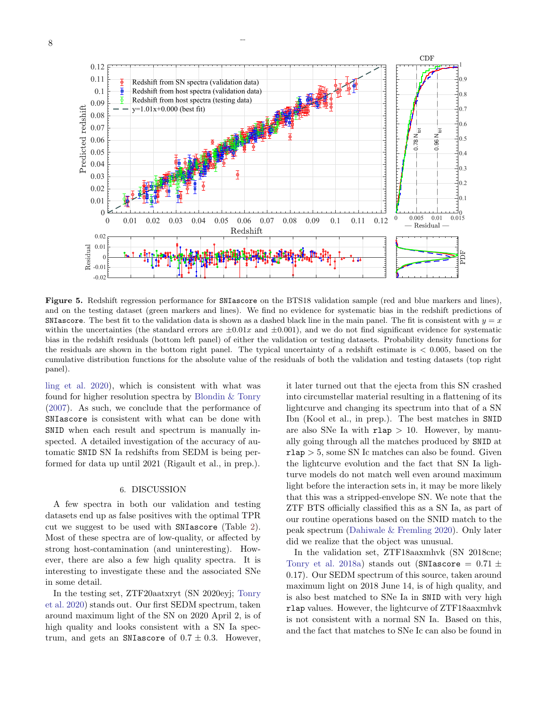

<span id="page-7-1"></span>Figure 5. [R](#page-10-6)edshift regression performance for SNIascore on the BTS18 validation sample (red and blue markers and lines), and on the testing dataset (green markers and lines). We find no evidence for systematic bias in the redshift predictions of SNIascore. The best fit to the validation data is shown as a dashed black line in the main panel. The fit is consistent with  $y = x$ within the uncertainties (the standard errors are  $\pm 0.01x$  and  $\pm 0.001$ ), and we do not find significant evidence for systematic bias in the redshift residuals (bottom left panel) of either the validation or testing datasets. Probability density functions for the residuals are shown in the bottom right panel. The typical uncertainty of a redshift estimate is < 0.005, based on the cumulative distribution functions for the absolute value of the residuals of both the validation and testing datasets (top right panel).

[ling et al. 2020\)](#page-10-6), which is consistent with what was found for higher resolution spectra by [Blondin & Tonry](#page-10-10) [\(2007\)](#page-10-10). As such, we conclude that the performance of SNIascore is consistent with what can be done with SNID when each result and spectrum is manually inspected. A detailed investigation of the accuracy of automatic SNID SN Ia redshifts from SEDM is being performed for data up until 2021 (Rigault et al., in prep.).

#### 6. DISCUSSION

<span id="page-7-0"></span>A few spectra in both our validation and testing datasets end up as false positives with the optimal TPR cut we suggest to be used with SNIascore (Table [2\)](#page-5-0). Most of these spectra are of low-quality, or affected by strong host-contamination (and uninteresting). However, there are also a few high quality spectra. It is interesting to investigate these and the associated SNe in some detail.

In the testing set, ZTF20aatxryt (SN 2020eyj; [Tonry](#page-11-3) [et al. 2020\)](#page-11-3) stands out. Our first SEDM spectrum, taken around maximum light of the SN on 2020 April 2, is of high quality and looks consistent with a SN Ia spectrum, and gets an SNIascore of  $0.7 \pm 0.3$ . However,

it later turned out that the ejecta from this SN crashed into circumstellar material resulting in a flattening of its lightcurve and changing its spectrum into that of a SN Ibn (Kool et al., in prep.). The best matches in SNID are also SNe Ia with  $rlap > 10$ . However, by manually going through all the matches produced by SNID at  $rlap > 5$ , some SN Ic matches can also be found. Given the lightcurve evolution and the fact that SN Ia lighturve models do not match well even around maximum light before the interaction sets in, it may be more likely that this was a stripped-envelope SN. We note that the ZTF BTS officially classified this as a SN Ia, as part of our routine operations based on the SNID match to the peak spectrum [\(Dahiwale & Fremling 2020\)](#page-10-14). Only later did we realize that the object was unusual.

In the validation set, ZTF18aaxmhvk (SN 2018cne; [Tonry et al. 2018a\)](#page-11-4) stands out (SNIascore =  $0.71 \pm$ 0.17). Our SEDM spectrum of this source, taken around maximum light on 2018 June 14, is of high quality, and is also best matched to SNe Ia in SNID with very high rlap values. However, the lightcurve of ZTF18aaxmhvk is not consistent with a normal SN Ia. Based on this, and the fact that matches to SNe Ic can also be found in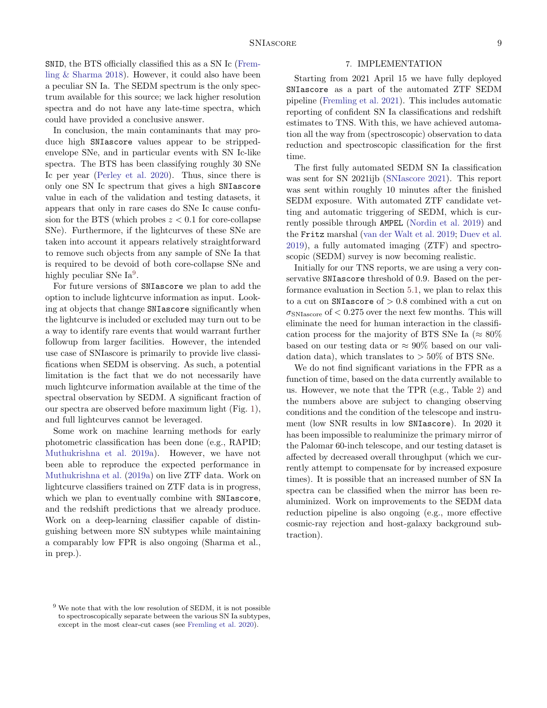SNID, the BTS officially classified this as a SN Ic [\(Frem](#page-10-15)[ling & Sharma 2018\)](#page-10-15). However, it could also have been a peculiar SN Ia. The SEDM spectrum is the only spectrum available for this source; we lack higher resolution spectra and do not have any late-time spectra, which could have provided a conclusive answer.

In conclusion, the main contaminants that may produce high SNIascore values appear to be strippedenvelope SNe, and in particular events with SN Ic-like spectra. The BTS has been classifying roughly 30 SNe Ic per year [\(Perley et al. 2020\)](#page-10-7). Thus, since there is only one SN Ic spectrum that gives a high SNIascore value in each of the validation and testing datasets, it appears that only in rare cases do SNe Ic cause confusion for the BTS (which probes  $z < 0.1$  for core-collapse SNe). Furthermore, if the lightcurves of these SNe are taken into account it appears relatively straightforward to remove such objects from any sample of SNe Ia that is required to be devoid of both core-collapse SNe and highly peculiar SNe Ia<sup>[9](#page-8-1)</sup>.

For future versions of SNIascore we plan to add the option to include lightcurve information as input. Looking at objects that change SNIascore significantly when the lightcurve is included or excluded may turn out to be a way to identify rare events that would warrant further followup from larger facilities. However, the intended use case of SNIascore is primarily to provide live classifications when SEDM is observing. As such, a potential limitation is the fact that we do not necessarily have much lightcurve information available at the time of the spectral observation by SEDM. A significant fraction of our spectra are observed before maximum light (Fig. [1\)](#page-1-4), and full lightcurves cannot be leveraged.

Some work on machine learning methods for early photometric classification has been done (e.g., RAPID; [Muthukrishna et al. 2019a\)](#page-10-16). However, we have not been able to reproduce the expected performance in [Muthukrishna et al.](#page-10-16) [\(2019a\)](#page-10-16) on live ZTF data. Work on lightcurve classifiers trained on ZTF data is in progress, which we plan to eventually combine with SNIascore, and the redshift predictions that we already produce. Work on a deep-learning classifier capable of distinguishing between more SN subtypes while maintaining a comparably low FPR is also ongoing (Sharma et al., in prep.).

### 7. IMPLEMENTATION

<span id="page-8-0"></span>Starting from 2021 April 15 we have fully deployed SNIascore as a part of the automated ZTF SEDM pipeline [\(Fremling et al. 2021\)](#page-10-17). This includes automatic reporting of confident SN Ia classifications and redshift estimates to TNS. With this, we have achieved automation all the way from (spectroscopic) observation to data reduction and spectroscopic classification for the first time.

The first fully automated SEDM SN Ia classification was sent for SN 2021ijb [\(SNIascore 2021\)](#page-11-5). This report was sent within roughly 10 minutes after the finished SEDM exposure. With automated ZTF candidate vetting and automatic triggering of SEDM, which is currently possible through AMPEL [\(Nordin et al. 2019\)](#page-10-18) and the Fritz marshal [\(van der Walt et al. 2019;](#page-11-6) [Duev et al.](#page-10-19) [2019\)](#page-10-19), a fully automated imaging (ZTF) and spectroscopic (SEDM) survey is now becoming realistic.

Initially for our TNS reports, we are using a very conservative SNIascore threshold of 0.9. Based on the performance evaluation in Section [5.1,](#page-5-2) we plan to relax this to a cut on SNIascore of  $> 0.8$  combined with a cut on  $\sigma_{\text{SNIascore}}$  of  $< 0.275$  over the next few months. This will eliminate the need for human interaction in the classification process for the majority of BTS SNe Ia ( $\approx 80\%$ ) based on our testing data or  $\approx 90\%$  based on our validation data), which translates to  $> 50\%$  of BTS SNe.

We do not find significant variations in the FPR as a function of time, based on the data currently available to us. However, we note that the TPR (e.g., Table [2\)](#page-5-0) and the numbers above are subject to changing observing conditions and the condition of the telescope and instrument (low SNR results in low SNIascore). In 2020 it has been impossible to realuminize the primary mirror of the Palomar 60-inch telescope, and our testing dataset is affected by decreased overall throughput (which we currently attempt to compensate for by increased exposure times). It is possible that an increased number of SN Ia spectra can be classified when the mirror has been realuminized. Work on improvements to the SEDM data reduction pipeline is also ongoing (e.g., more effective cosmic-ray rejection and host-galaxy background subtraction).

<span id="page-8-1"></span> $9$  We note that with the low resolution of SEDM, it is not possible to spectroscopically separate between the various SN Ia subtypes, except in the most clear-cut cases (see [Fremling et al. 2020\)](#page-10-6).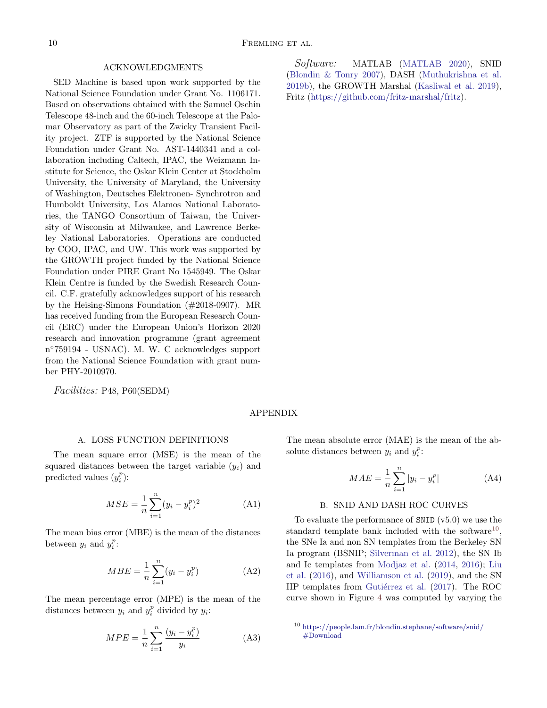#### ACKNOWLEDGMENTS

SED Machine is based upon work supported by the National Science Foundation under Grant No. 1106171. Based on observations obtained with the Samuel Oschin Telescope 48-inch and the 60-inch Telescope at the Palomar Observatory as part of the Zwicky Transient Facility project. ZTF is supported by the National Science Foundation under Grant No. AST-1440341 and a collaboration including Caltech, IPAC, the Weizmann Institute for Science, the Oskar Klein Center at Stockholm University, the University of Maryland, the University of Washington, Deutsches Elektronen- Synchrotron and Humboldt University, Los Alamos National Laboratories, the TANGO Consortium of Taiwan, the University of Wisconsin at Milwaukee, and Lawrence Berkeley National Laboratories. Operations are conducted by COO, IPAC, and UW. This work was supported by the GROWTH project funded by the National Science Foundation under PIRE Grant No 1545949. The Oskar Klein Centre is funded by the Swedish Research Council. C.F. gratefully acknowledges support of his research by the Heising-Simons Foundation (#2018-0907). MR has received funding from the European Research Council (ERC) under the European Union's Horizon 2020 research and innovation programme (grant agreement n ◦759194 - USNAC). M. W. C acknowledges support from the National Science Foundation with grant number PHY-2010970.

Facilities: P48, P60(SEDM)

# APPENDIX

#### A. LOSS FUNCTION DEFINITIONS

The mean square error (MSE) is the mean of the squared distances between the target variable  $(y_i)$  and predicted values  $(y_i^p)$ :

<span id="page-9-2"></span>
$$
MSE = \frac{1}{n} \sum_{i=1}^{n} (y_i - y_i^p)^2
$$
 (A1)

The mean bias error (MBE) is the mean of the distances between  $y_i$  and  $y_i^p$ :

<span id="page-9-0"></span>
$$
MBE = \frac{1}{n} \sum_{i=1}^{n} (y_i - y_i^p)
$$
 (A2)

The mean percentage error (MPE) is the mean of the distances between  $y_i$  and  $y_i^p$  divided by  $y_i$ :

<span id="page-9-3"></span>
$$
MPE = \frac{1}{n} \sum_{i=1}^{n} \frac{(y_i - y_i^p)}{y_i}
$$
 (A3)

Software: MATLAB [\(MATLAB 2020\)](#page-10-20), SNID [\(Blondin & Tonry 2007\)](#page-10-10), DASH [\(Muthukrishna et al.](#page-10-11) [2019b\)](#page-10-11), the GROWTH Marshal [\(Kasliwal et al. 2019\)](#page-10-12), Fritz [\(https://github.com/fritz-marshal/fritz\)](https://github.com/fritz-marshal/fritz).

The mean absolute error (MAE) is the mean of the absolute distances between  $y_i$  and  $y_i^p$ :

<span id="page-9-1"></span>
$$
MAE = \frac{1}{n} \sum_{i=1}^{n} |y_i - y_i^p|
$$
 (A4)

#### B. SNID AND DASH ROC CURVES

<span id="page-9-4"></span>To evaluate the performance of  $SND (v5.0)$  we use the standard template bank included with the software $^{10}$  $^{10}$  $^{10}$ , the SNe Ia and non SN templates from the Berkeley SN Ia program (BSNIP; [Silverman et al. 2012\)](#page-11-7), the SN Ib and Ic templates from [Modjaz et al.](#page-10-21) [\(2014,](#page-10-21) [2016\)](#page-10-22); [Liu](#page-10-23) [et al.](#page-10-23) [\(2016\)](#page-10-23), and [Williamson et al.](#page-11-8) [\(2019\)](#page-11-8), and the SN IIP templates from Gutiérrez et al.  $(2017)$ . The ROC curve shown in Figure [4](#page-5-1) was computed by varying the

<span id="page-9-5"></span><sup>10</sup> [https://people.lam.fr/blondin.stephane/software/snid/](https://people.lam.fr/blondin.stephane/software/snid/#Download) [#Download](https://people.lam.fr/blondin.stephane/software/snid/#Download)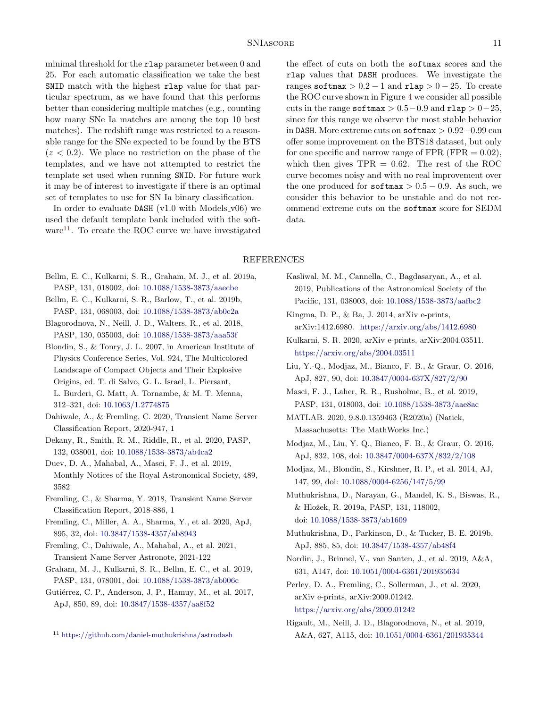minimal threshold for the rlap parameter between 0 and 25. For each automatic classification we take the best SNID match with the highest rlap value for that particular spectrum, as we have found that this performs better than considering multiple matches (e.g., counting how many SNe Ia matches are among the top 10 best matches). The redshift range was restricted to a reasonable range for the SNe expected to be found by the BTS  $(z < 0.2)$ . We place no restriction on the phase of the templates, and we have not attempted to restrict the template set used when running SNID. For future work it may be of interest to investigate if there is an optimal set of templates to use for SN Ia binary classification.

In order to evaluate DASH  $(v1.0 \text{ with Models_v}06)$  we used the default template bank included with the soft-ware<sup>[11](#page-10-25)</sup>. To create the ROC curve we have investigated

the effect of cuts on both the softmax scores and the rlap values that DASH produces. We investigate the ranges softmax  $> 0.2 - 1$  and rlap  $> 0 - 25$ . To create the ROC curve shown in Figure [4](#page-5-1) we consider all possible cuts in the range softmax  $> 0.5-0.9$  and rlap  $> 0-25$ , since for this range we observe the most stable behavior in DASH. More extreme cuts on softmax > 0.92−0.99 can offer some improvement on the BTS18 dataset, but only for one specific and narrow range of  $FPR$  ( $FPR = 0.02$ ), which then gives  $TPR = 0.62$ . The rest of the ROC curve becomes noisy and with no real improvement over the one produced for softmax  $> 0.5 - 0.9$ . As such, we consider this behavior to be unstable and do not recommend extreme cuts on the softmax score for SEDM data.

#### REFERENCES

- <span id="page-10-0"></span>Bellm, E. C., Kulkarni, S. R., Graham, M. J., et al. 2019a, PASP, 131, 018002, doi: [10.1088/1538-3873/aaecbe](http://doi.org/10.1088/1538-3873/aaecbe)
- <span id="page-10-1"></span>Bellm, E. C., Kulkarni, S. R., Barlow, T., et al. 2019b, PASP, 131, 068003, doi: [10.1088/1538-3873/ab0c2a](http://doi.org/10.1088/1538-3873/ab0c2a)
- <span id="page-10-8"></span>Blagorodnova, N., Neill, J. D., Walters, R., et al. 2018, PASP, 130, 035003, doi: [10.1088/1538-3873/aaa53f](http://doi.org/10.1088/1538-3873/aaa53f)
- <span id="page-10-10"></span>Blondin, S., & Tonry, J. L. 2007, in American Institute of Physics Conference Series, Vol. 924, The Multicolored Landscape of Compact Objects and Their Explosive Origins, ed. T. di Salvo, G. L. Israel, L. Piersant, L. Burderi, G. Matt, A. Tornambe, & M. T. Menna, 312–321, doi: [10.1063/1.2774875](http://doi.org/10.1063/1.2774875)
- <span id="page-10-14"></span>Dahiwale, A., & Fremling, C. 2020, Transient Name Server Classification Report, 2020-947, 1
- <span id="page-10-4"></span>Dekany, R., Smith, R. M., Riddle, R., et al. 2020, PASP, 132, 038001, doi: [10.1088/1538-3873/ab4ca2](http://doi.org/10.1088/1538-3873/ab4ca2)
- <span id="page-10-19"></span>Duev, D. A., Mahabal, A., Masci, F. J., et al. 2019, Monthly Notices of the Royal Astronomical Society, 489, 3582
- <span id="page-10-15"></span>Fremling, C., & Sharma, Y. 2018, Transient Name Server Classification Report, 2018-886, 1
- <span id="page-10-6"></span>Fremling, C., Miller, A. A., Sharma, Y., et al. 2020, ApJ, 895, 32, doi: [10.3847/1538-4357/ab8943](http://doi.org/10.3847/1538-4357/ab8943)
- <span id="page-10-17"></span>Fremling, C., Dahiwale, A., Mahabal, A., et al. 2021, Transient Name Server Astronote, 2021-122
- <span id="page-10-2"></span>Graham, M. J., Kulkarni, S. R., Bellm, E. C., et al. 2019, PASP, 131, 078001, doi: [10.1088/1538-3873/ab006c](http://doi.org/10.1088/1538-3873/ab006c)
- <span id="page-10-24"></span>Gutiérrez, C. P., Anderson, J. P., Hamuy, M., et al. 2017, ApJ, 850, 89, doi: [10.3847/1538-4357/aa8f52](http://doi.org/10.3847/1538-4357/aa8f52)

<span id="page-10-25"></span><sup>11</sup> <https://github.com/daniel-muthukrishna/astrodash>

- <span id="page-10-12"></span>Kasliwal, M. M., Cannella, C., Bagdasaryan, A., et al. 2019, Publications of the Astronomical Society of the Pacific, 131, 038003, doi: [10.1088/1538-3873/aafbc2](http://doi.org/10.1088/1538-3873/aafbc2)
- <span id="page-10-13"></span>Kingma, D. P., & Ba, J. 2014, arXiv e-prints, arXiv:1412.6980. <https://arxiv.org/abs/1412.6980>
- <span id="page-10-5"></span>Kulkarni, S. R. 2020, arXiv e-prints, arXiv:2004.03511. <https://arxiv.org/abs/2004.03511>
- <span id="page-10-23"></span>Liu, Y.-Q., Modjaz, M., Bianco, F. B., & Graur, O. 2016, ApJ, 827, 90, doi: [10.3847/0004-637X/827/2/90](http://doi.org/10.3847/0004-637X/827/2/90)
- <span id="page-10-3"></span>Masci, F. J., Laher, R. R., Rusholme, B., et al. 2019, PASP, 131, 018003, doi: [10.1088/1538-3873/aae8ac](http://doi.org/10.1088/1538-3873/aae8ac)
- <span id="page-10-20"></span>MATLAB. 2020, 9.8.0.1359463 (R2020a) (Natick, Massachusetts: The MathWorks Inc.)
- <span id="page-10-22"></span>Modjaz, M., Liu, Y. Q., Bianco, F. B., & Graur, O. 2016, ApJ, 832, 108, doi: [10.3847/0004-637X/832/2/108](http://doi.org/10.3847/0004-637X/832/2/108)
- <span id="page-10-21"></span>Modjaz, M., Blondin, S., Kirshner, R. P., et al. 2014, AJ, 147, 99, doi: [10.1088/0004-6256/147/5/99](http://doi.org/10.1088/0004-6256/147/5/99)
- <span id="page-10-16"></span>Muthukrishna, D., Narayan, G., Mandel, K. S., Biswas, R., & Hloˇzek, R. 2019a, PASP, 131, 118002, doi: [10.1088/1538-3873/ab1609](http://doi.org/10.1088/1538-3873/ab1609)
- <span id="page-10-11"></span>Muthukrishna, D., Parkinson, D., & Tucker, B. E. 2019b, ApJ, 885, 85, doi: [10.3847/1538-4357/ab48f4](http://doi.org/10.3847/1538-4357/ab48f4)
- <span id="page-10-18"></span>Nordin, J., Brinnel, V., van Santen, J., et al. 2019, A&A, 631, A147, doi: [10.1051/0004-6361/201935634](http://doi.org/10.1051/0004-6361/201935634)
- <span id="page-10-7"></span>Perley, D. A., Fremling, C., Sollerman, J., et al. 2020, arXiv e-prints, arXiv:2009.01242. <https://arxiv.org/abs/2009.01242>
- <span id="page-10-9"></span>Rigault, M., Neill, J. D., Blagorodnova, N., et al. 2019, A&A, 627, A115, doi: [10.1051/0004-6361/201935344](http://doi.org/10.1051/0004-6361/201935344)